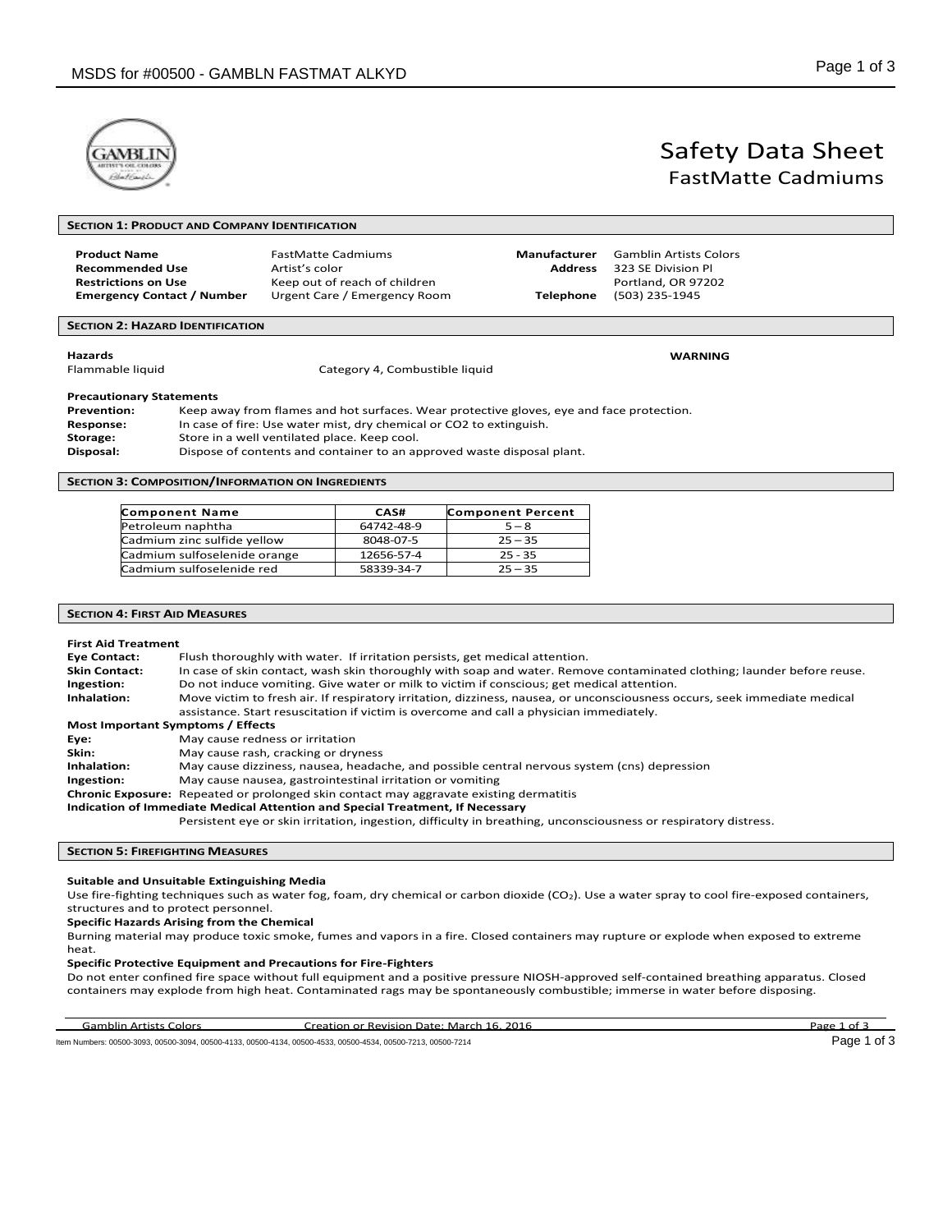**SECTION 1: PRODUCT AND COMPANY IDENTIFICATION**



# Safety Data Sheet FastMatte Cadmiums

| <b>Product Name</b><br><b>Recommended Use</b><br><b>Restrictions on Use</b><br><b>Emergency Contact / Number</b>                                                                                                                                                                                                                                                                         |  | <b>FastMatte Cadmiums</b><br>Artist's color<br>Keep out of reach of children<br>Urgent Care / Emergency Room | <b>Manufacturer</b><br><b>Address</b><br><b>Telephone</b> | <b>Gamblin Artists Colors</b><br>323 SE Division Pl<br>Portland, OR 97202<br>(503) 235-1945 |
|------------------------------------------------------------------------------------------------------------------------------------------------------------------------------------------------------------------------------------------------------------------------------------------------------------------------------------------------------------------------------------------|--|--------------------------------------------------------------------------------------------------------------|-----------------------------------------------------------|---------------------------------------------------------------------------------------------|
| <b>SECTION 2: HAZARD IDENTIFICATION</b>                                                                                                                                                                                                                                                                                                                                                  |  |                                                                                                              |                                                           |                                                                                             |
| <b>Hazards</b><br>Flammable liquid                                                                                                                                                                                                                                                                                                                                                       |  | Category 4, Combustible liquid                                                                               |                                                           | <b>WARNING</b>                                                                              |
| <b>Precautionary Statements</b><br>Keep away from flames and hot surfaces. Wear protective gloves, eye and face protection.<br><b>Prevention:</b><br>In case of fire: Use water mist, dry chemical or CO2 to extinguish.<br>Response:<br>Store in a well ventilated place. Keep cool.<br>Storage:<br>Dispose of contents and container to an approved waste disposal plant.<br>Disposal: |  |                                                                                                              |                                                           |                                                                                             |

**SECTION 3: COMPOSITION/INFORMATION ON INGREDIENTS**

| <b>Component Name</b>        | CAS#       | <b>Component Percent</b> |
|------------------------------|------------|--------------------------|
| Petroleum naphtha            | 64742-48-9 | $5 - 8$                  |
| Cadmium zinc sulfide yellow  | 8048-07-5  | $25 - 35$                |
| Cadmium sulfoselenide orange | 12656-57-4 | $25 - 35$                |
| Cadmium sulfoselenide red    | 58339-34-7 | $25 - 35$                |

# **SECTION 4: FIRST AID MEASURES**

#### **First Aid Treatment**

| <b>Eye Contact:</b>                                                           | Flush thoroughly with water. If irritation persists, get medical attention.                                               |  |  |  |
|-------------------------------------------------------------------------------|---------------------------------------------------------------------------------------------------------------------------|--|--|--|
| <b>Skin Contact:</b>                                                          | In case of skin contact, wash skin thoroughly with soap and water. Remove contaminated clothing; launder before reuse.    |  |  |  |
| Ingestion:                                                                    | Do not induce vomiting. Give water or milk to victim if conscious; get medical attention.                                 |  |  |  |
| Inhalation:                                                                   | Move victim to fresh air. If respiratory irritation, dizziness, nausea, or unconsciousness occurs, seek immediate medical |  |  |  |
|                                                                               | assistance. Start resuscitation if victim is overcome and call a physician immediately.                                   |  |  |  |
| Most Important Symptoms / Effects                                             |                                                                                                                           |  |  |  |
| Eye:                                                                          | May cause redness or irritation                                                                                           |  |  |  |
| Skin:                                                                         | May cause rash, cracking or dryness                                                                                       |  |  |  |
| Inhalation:                                                                   | May cause dizziness, nausea, headache, and possible central nervous system (cns) depression                               |  |  |  |
| Ingestion:                                                                    | May cause nausea, gastrointestinal irritation or vomiting                                                                 |  |  |  |
|                                                                               | <b>Chronic Exposure:</b> Repeated or prolonged skin contact may aggravate existing dermatitis                             |  |  |  |
| Indication of Immediate Medical Attention and Special Treatment, If Necessary |                                                                                                                           |  |  |  |
|                                                                               | Persistent eye or skin irritation, ingestion, difficulty in breathing, unconsciousness or respiratory distress.           |  |  |  |
|                                                                               |                                                                                                                           |  |  |  |

### **SECTION 5: FIREFIGHTING MEASURES**

#### **Suitable and Unsuitable Extinguishing Media**

Use fire-fighting techniques such as water fog, foam, dry chemical or carbon dioxide (CO<sub>2</sub>). Use a water spray to cool fire-exposed containers, structures and to protect personnel.

**Specific Hazards Arising from the Chemical**

Burning material may produce toxic smoke, fumes and vapors in a fire. Closed containers may rupture or explode when exposed to extreme heat.

#### **Specific Protective Equipment and Precautions for Fire-Fighters**

Do not enter confined fire space without full equipment and a positive pressure NIOSH-approved self-contained breathing apparatus. Closed containers may explode from high heat. Contaminated rags may be spontaneously combustible; immerse in water before disposing.

Gamblin Artists Colors Creation or Revision Date: March 16, 2016 Page 1 of 3 Item Numbers: 00500-3093, 00500-3094, 00500-4133, 00500-4134, 00500-4533, 00500-4534, 00500-7213, 00500-7214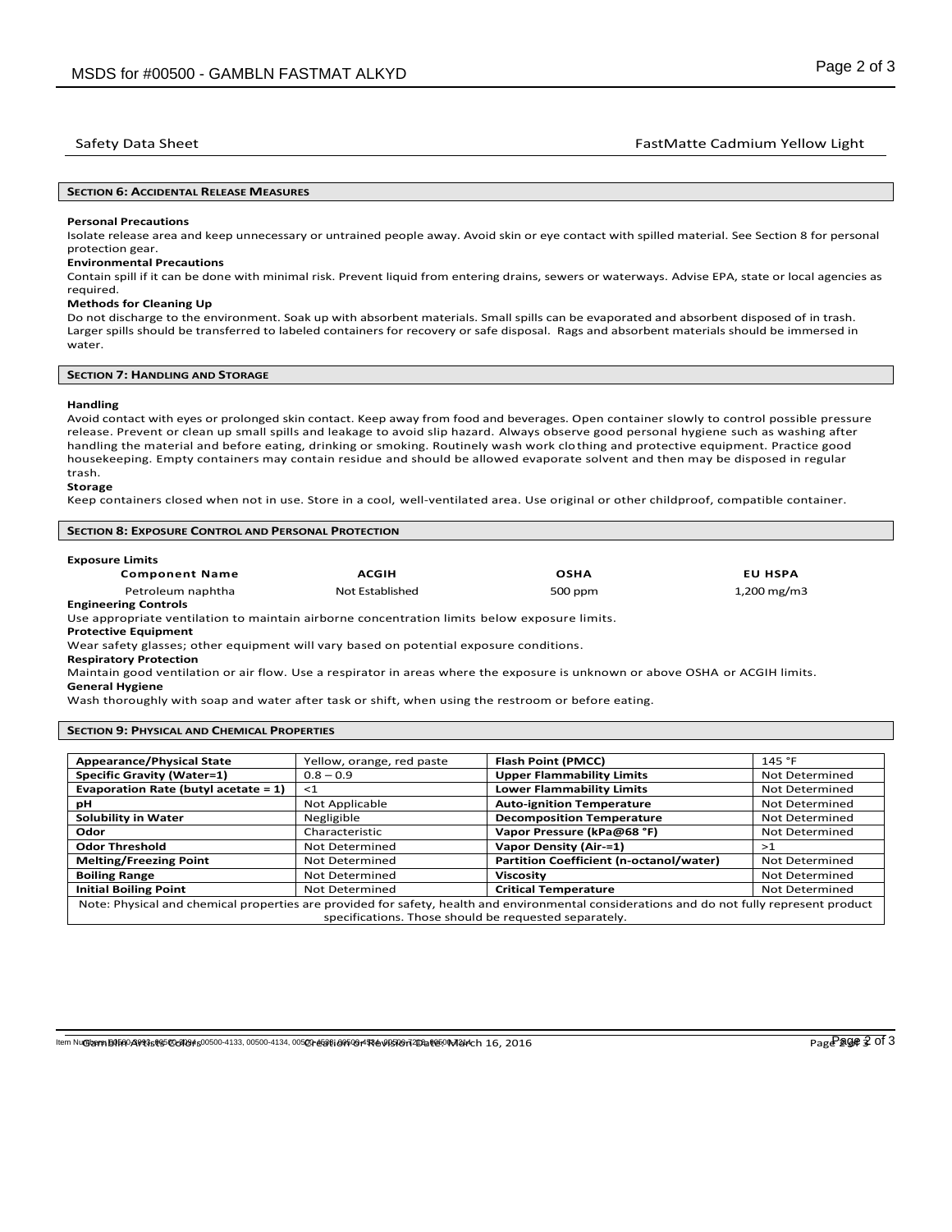# Safety Data Sheet **FastMatte Cadmium Yellow Light** FastMatte Cadmium Yellow Light

#### **SECTION 6: ACCIDENTAL RELEASE MEASURES**

#### **Personal Precautions**

Isolate release area and keep unnecessary or untrained people away. Avoid skin or eye contact with spilled material. See Section 8 for personal protection gear.

#### **Environmental Precautions**

Contain spill if it can be done with minimal risk. Prevent liquid from entering drains, sewers or waterways. Advise EPA, state or local agencies as required.

#### **Methods for Cleaning Up**

Do not discharge to the environment. Soak up with absorbent materials. Small spills can be evaporated and absorbent disposed of in trash. Larger spills should be transferred to labeled containers for recovery or safe disposal. Rags and absorbent materials should be immersed in water.

#### **SECTION 7: HANDLING AND STORAGE**

#### **Handling**

Avoid contact with eyes or prolonged skin contact. Keep away from food and beverages. Open container slowly to control possible pressure release. Prevent or clean up small spills and leakage to avoid slip hazard. Always observe good personal hygiene such as washing after handling the material and before eating, drinking or smoking. Routinely wash work clothing and protective equipment. Practice good housekeeping. Empty containers may contain residue and should be allowed evaporate solvent and then may be disposed in regular trash.

#### **Storage**

Keep containers closed when not in use. Store in a cool, well-ventilated area. Use original or other childproof, compatible container.

| <b>SECTION 8: EXPOSURE CONTROL AND PERSONAL PROTECTION</b> |  |  |  |  |  |
|------------------------------------------------------------|--|--|--|--|--|
| <b>Exposure Limits</b>                                     |  |  |  |  |  |

| <b>Component Name</b>                                                                        | <b>ACGIH</b>    | <b>OSHA</b> | <b>EU HSPA</b> |  |  |  |
|----------------------------------------------------------------------------------------------|-----------------|-------------|----------------|--|--|--|
| Petroleum naphtha                                                                            | Not Established | 500 ppm     | 1,200 mg/m3    |  |  |  |
| <b>Engineering Controls</b>                                                                  |                 |             |                |  |  |  |
| Use appropriate ventilation to maintain airborne concentration limits below exposure limits. |                 |             |                |  |  |  |

**Protective Equipment**

Wear safety glasses; other equipment will vary based on potential exposure conditions.

**Respiratory Protection**

Maintain good ventilation or air flow. Use a respirator in areas where the exposure is unknown or above OSHA or ACGIH limits. **General Hygiene**

Wash thoroughly with soap and water after task or shift, when using the restroom or before eating.

### **SECTION 9: PHYSICAL AND CHEMICAL PROPERTIES**

| <b>Appearance/Physical State</b>        | Yellow, orange, red paste | <b>Flash Point (PMCC)</b>                                                                                                                  | 145 °F         |
|-----------------------------------------|---------------------------|--------------------------------------------------------------------------------------------------------------------------------------------|----------------|
| <b>Specific Gravity (Water=1)</b>       | $0.8 - 0.9$               | <b>Upper Flammability Limits</b>                                                                                                           | Not Determined |
| Evaporation Rate (butyl acetate $= 1$ ) | $\leq 1$                  | <b>Lower Flammability Limits</b>                                                                                                           | Not Determined |
| рH                                      | Not Applicable            | <b>Auto-ignition Temperature</b>                                                                                                           | Not Determined |
| <b>Solubility in Water</b>              | Negligible                | <b>Decomposition Temperature</b>                                                                                                           | Not Determined |
| Odor                                    | Characteristic            | Vapor Pressure (kPa@68 °F)                                                                                                                 | Not Determined |
| <b>Odor Threshold</b>                   | Not Determined            | Vapor Density (Air-=1)                                                                                                                     | >1             |
| <b>Melting/Freezing Point</b>           | Not Determined            | Partition Coefficient (n-octanol/water)                                                                                                    | Not Determined |
| <b>Boiling Range</b>                    | Not Determined            | <b>Viscosity</b>                                                                                                                           | Not Determined |
| <b>Initial Boiling Point</b>            | Not Determined            | <b>Critical Temperature</b>                                                                                                                | Not Determined |
|                                         |                           | Note: Physical and chemical properties are provided for safety, health and environmental considerations and do not fully represent product |                |
|                                         |                           | specifications. Those should be requested separately.                                                                                      |                |